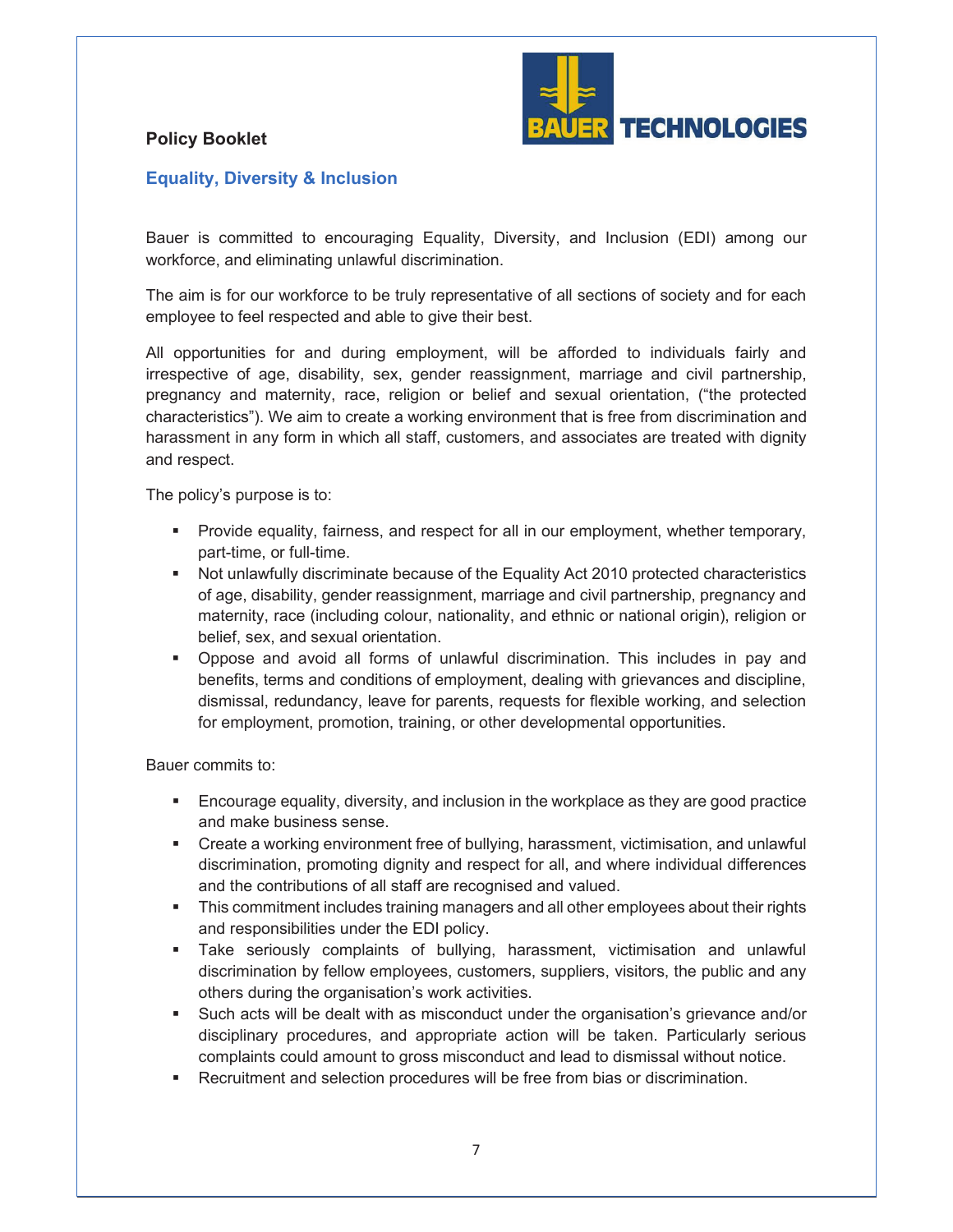

## **Policy Booklet**

## **Equality, Diversity & Inclusion**

Bauer is committed to encouraging Equality, Diversity, and Inclusion (EDI) among our workforce, and eliminating unlawful discrimination.

The aim is for our workforce to be truly representative of all sections of society and for each employee to feel respected and able to give their best.

All opportunities for and during employment, will be afforded to individuals fairly and irrespective of age, disability, sex, gender reassignment, marriage and civil partnership, pregnancy and maternity, race, religion or belief and sexual orientation, ("the protected characteristics"). We aim to create a working environment that is free from discrimination and harassment in any form in which all staff, customers, and associates are treated with dignity and respect.

The policy's purpose is to:

- **•** Provide equality, fairness, and respect for all in our employment, whether temporary, part-time, or full-time.
- Not unlawfully discriminate because of the Equality Act 2010 protected characteristics of age, disability, gender reassignment, marriage and civil partnership, pregnancy and maternity, race (including colour, nationality, and ethnic or national origin), religion or belief, sex, and sexual orientation.
- ß Oppose and avoid all forms of unlawful discrimination. This includes in pay and benefits, terms and conditions of employment, dealing with grievances and discipline, dismissal, redundancy, leave for parents, requests for flexible working, and selection for employment, promotion, training, or other developmental opportunities.

Bauer commits to:

- **Encourage equality, diversity, and inclusion in the workplace as they are good practice** and make business sense.
- **EXECT** Create a working environment free of bullying, harassment, victimisation, and unlawful discrimination, promoting dignity and respect for all, and where individual differences and the contributions of all staff are recognised and valued.
- **Fig.** This commitment includes training managers and all other employees about their rights and responsibilities under the EDI policy.
- **Take seriously complaints of bullying, harassment, victimisation and unlawfull** discrimination by fellow employees, customers, suppliers, visitors, the public and any others during the organisation's work activities.
- **Such acts will be dealt with as misconduct under the organisation's grievance and/or** disciplinary procedures, and appropriate action will be taken. Particularly serious complaints could amount to gross misconduct and lead to dismissal without notice.
- **Recruitment and selection procedures will be free from bias or discrimination.**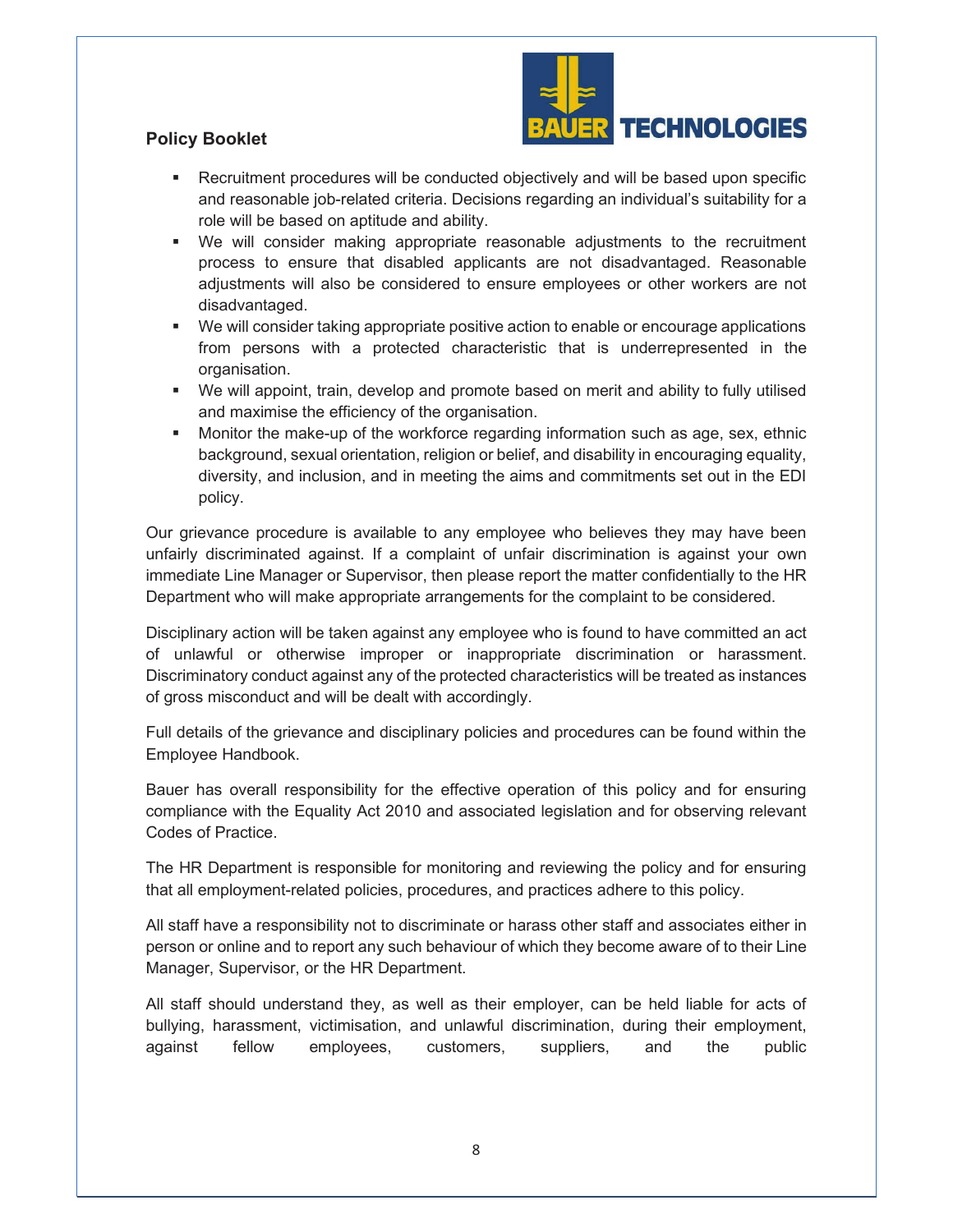

## **Policy Booklet**

- **EXECT** Recruitment procedures will be conducted objectively and will be based upon specific and reasonable job-related criteria. Decisions regarding an individual's suitability for a role will be based on aptitude and ability.
- ß We will consider making appropriate reasonable adjustments to the recruitment process to ensure that disabled applicants are not disadvantaged. Reasonable adjustments will also be considered to ensure employees or other workers are not disadvantaged.
- We will consider taking appropriate positive action to enable or encourage applications from persons with a protected characteristic that is underrepresented in the organisation.
- We will appoint, train, develop and promote based on merit and ability to fully utilised and maximise the efficiency of the organisation.
- **Monitor the make-up of the workforce regarding information such as age, sex, ethnic** background, sexual orientation, religion or belief, and disability in encouraging equality, diversity, and inclusion, and in meeting the aims and commitments set out in the EDI policy.

Our grievance procedure is available to any employee who believes they may have been unfairly discriminated against. If a complaint of unfair discrimination is against your own immediate Line Manager or Supervisor, then please report the matter confidentially to the HR Department who will make appropriate arrangements for the complaint to be considered.

Disciplinary action will be taken against any employee who is found to have committed an act of unlawful or otherwise improper or inappropriate discrimination or harassment. Discriminatory conduct against any of the protected characteristics will be treated as instances of gross misconduct and will be dealt with accordingly.

Full details of the grievance and disciplinary policies and procedures can be found within the Employee Handbook.

Bauer has overall responsibility for the effective operation of this policy and for ensuring compliance with the Equality Act 2010 and associated legislation and for observing relevant Codes of Practice.

The HR Department is responsible for monitoring and reviewing the policy and for ensuring that all employment-related policies, procedures, and practices adhere to this policy.

All staff have a responsibility not to discriminate or harass other staff and associates either in person or online and to report any such behaviour of which they become aware of to their Line Manager, Supervisor, or the HR Department.

All staff should understand they, as well as their employer, can be held liable for acts of bullying, harassment, victimisation, and unlawful discrimination, during their employment, against fellow employees, customers, suppliers, and the public